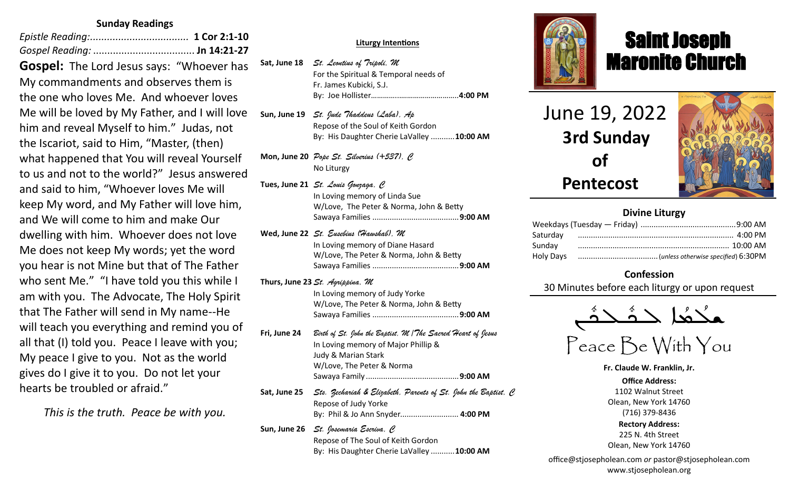#### **Sunday Readings**

| Gospel: The Lord Jesus says: "Whoever has      |
|------------------------------------------------|
| My commandments and observes them is           |
| the one who loves Me. And whoever loves        |
| Me will be loved by My Father, and I will love |
| him and reveal Myself to him." Judas, not      |
| the Iscariot, said to Him, "Master, (then)     |
| what happened that You will reveal Yourself    |
| to us and not to the world?" Jesus answered    |
| and said to him, "Whoever loves Me will        |
| keep My word, and My Father will love him,     |
| and We will come to him and make Our           |
| dwelling with him. Whoever does not love       |
| Me does not keep My words; yet the word        |
| you hear is not Mine but that of The Father    |
| who sent Me." "I have told you this while I    |
| am with you. The Advocate, The Holy Spirit     |
| that The Father will send in My name--He       |
| will teach you everything and remind you of    |
| all that (I) told you. Peace I leave with you; |
| My peace I give to you. Not as the world       |
| gives do I give it to you. Do not let your     |
| hearts be troubled or afraid."                 |

*This is the truth. Peace be with you.*

#### **Sat, Apr 9** *St. Hermas, M* **Liturgy Intentions**

- Sat, June 18 *St. Leontius of Tripoli, M* For the Spiritual & Temporal needs of **Sundame Superiors** in Sundament, Christ in Beirut, Christ in Beirut, Christ in Beirut, Christ in Beirut, Christ in Agabus, Christ in Agabus, Christ in Beirut, Christ in Beirut, Christ in Beirut, Christ in Beirut, Christ i **Reading: Phil 1:1-13; Jn 12:12-22** By: Joe Hollister…………...*………………………..***4:00 PM** Fr. James Kubicki, S.J.
- Repose of Joe, Ameil, Fred & Nick...........**10:00 AM Sun, June 19** *St. Jude Thaddeus (Laba), Ap* Example 2008 June 12 metals and the Soul of Keith Gordon **Mon, Apr 11** *St. Antipas, M* By: His Daughter Cherie LaValley ...........**10:00 AM**
- **Mon, June 20** *Pope St. Silverius* (+537), *C* **Tue, Apr 12** *Sts. Mennas, Hermogenes and Eugraphus, M* No Liturgy
- **Reading: 1 Thes 2:13-17; Lk 13:22-30** No Liturgy **Tues, June 21** *St. Louis Gonzaga, C* W/Love, The Peter & Norma, John & Betty **Reading: Heb 2:5-12; Jn 11:47-54** Sawaya Families ........................................**9:00 AM** In Loving memory of Linda Sue
- **Thur, Apr 14** *Thursday of the Mysteries St. Hermenegild the King, M* In Loving memory of Diane Hasard **W/Love, The Peter & Norma, John & Betty** The Intentions & Donors Sawaya Families ........................................**9:00 AM** Of Catholic Extension ................................**9:00 AM Wed, June 22** *St. Eusebius (Hawshab), M*
- In Loving memory of Judy Yorke **Reading: Heb 12:12-21; Jn 19:31-37** W/Love, The Peter & Norma, John & Betty The International Country Edministrations & The Of Catholic Extension ................................**9:00 AM**  Sawaya Families ........................................**9:00 AM Thurs, June 23** *St. Agrippina, M*
- **Sat, Apr 16** *Great Saturday of the Light St. Bernadette Soubirous,C* **Fri, June 24** *Birth of St. John the Baptist, M /The Sacred Heart of Jesus* **Reading: Rom 5:1-11; Mt 27:62-66** In Loving memory of Major Phillip & Judy & Marian Stark W/Love, The Peter & Norma **Sun, Apr 17** *The Glorious Resurrection Pope St. Agapitus (+536), C* Sawaya Family ...........................................**9:00 AM**
- **Reading: 1 Cor 15:12-26; Mk 16:1-8** Sat, June 25 *Sts. Zechariah & Elizabeth, Parents of St. John the Baptist, C*  By: Paul Sawaya & Family By: Phil & Jo Ann Snyder*...........................* **4:00 PM** Repose of Judy Yorke
- **Sun, June 26** *St. Josemaria Escriva, C*
	- Repose of The Soul of Keith Gordon
	- By: His Daughter Cherie LaValley ...........**10:00 AM**



# Saint Joseph Maronite Church

 June 19, 2022  **3rd Sunday of Pentecost**

ī



#### **Divine Liturgy**

| Sunday |  |
|--------|--|
|        |  |

#### **Confession**

30 Minutes before each liturgy or upon request



Peace Be With You

**Fr. Claude W. Franklin, Jr. Office Address:** 1102 Walnut Street Olean, New York 14760 (716) 379-8436 **Rectory Address:** 225 N. 4th Street Olean, New York 14760

office@stjosepholean.com *or* pastor@stjosepholean.com www.stjosepholean.org